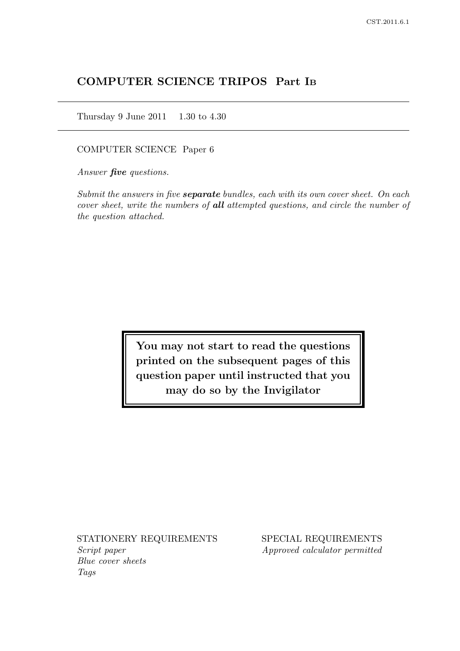# COMPUTER SCIENCE TRIPOS Part I<sup>B</sup>

Thursday 9 June 2011 1.30 to 4.30

COMPUTER SCIENCE Paper 6

Answer **five** questions.

Submit the answers in five **separate** bundles, each with its own cover sheet. On each cover sheet, write the numbers of all attempted questions, and circle the number of the question attached.

> You may not start to read the questions printed on the subsequent pages of this question paper until instructed that you may do so by the Invigilator

Script paper Approved calculator permitted Blue cover sheets Tags

STATIONERY REQUIREMENTS SPECIAL REQUIREMENTS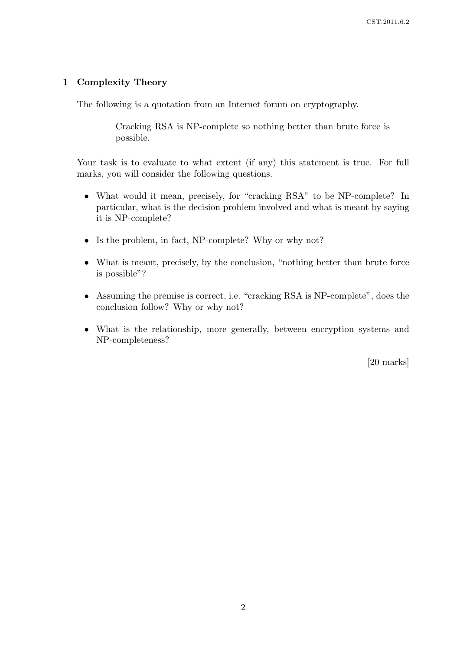## 1 Complexity Theory

The following is a quotation from an Internet forum on cryptography.

Cracking RSA is NP-complete so nothing better than brute force is possible.

Your task is to evaluate to what extent (if any) this statement is true. For full marks, you will consider the following questions.

- What would it mean, precisely, for "cracking RSA" to be NP-complete? In particular, what is the decision problem involved and what is meant by saying it is NP-complete?
- Is the problem, in fact, NP-complete? Why or why not?
- What is meant, precisely, by the conclusion, "nothing better than brute force is possible"?
- Assuming the premise is correct, i.e. "cracking RSA is NP-complete", does the conclusion follow? Why or why not?
- What is the relationship, more generally, between encryption systems and NP-completeness?

[20 marks]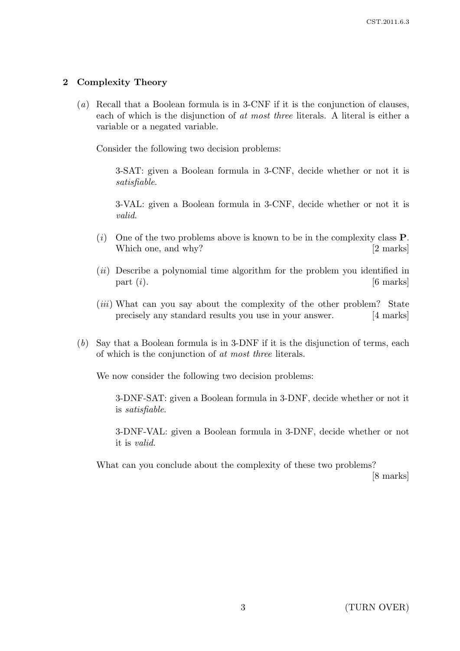## 2 Complexity Theory

(a) Recall that a Boolean formula is in 3-CNF if it is the conjunction of clauses, each of which is the disjunction of at most three literals. A literal is either a variable or a negated variable.

Consider the following two decision problems:

3-SAT: given a Boolean formula in 3-CNF, decide whether or not it is satisfiable.

3-VAL: given a Boolean formula in 3-CNF, decide whether or not it is valid.

- (i) One of the two problems above is known to be in the complexity class  $P$ . Which one, and why? [2 marks]
- (*ii*) Describe a polynomial time algorithm for the problem you identified in part  $(i)$ . [6 marks]
- (*iii*) What can you say about the complexity of the other problem? State precisely any standard results you use in your answer. [4 marks]
- (b) Say that a Boolean formula is in 3-DNF if it is the disjunction of terms, each of which is the conjunction of at most three literals.

We now consider the following two decision problems:

3-DNF-SAT: given a Boolean formula in 3-DNF, decide whether or not it is satisfiable.

3-DNF-VAL: given a Boolean formula in 3-DNF, decide whether or not it is valid.

What can you conclude about the complexity of these two problems? [8 marks]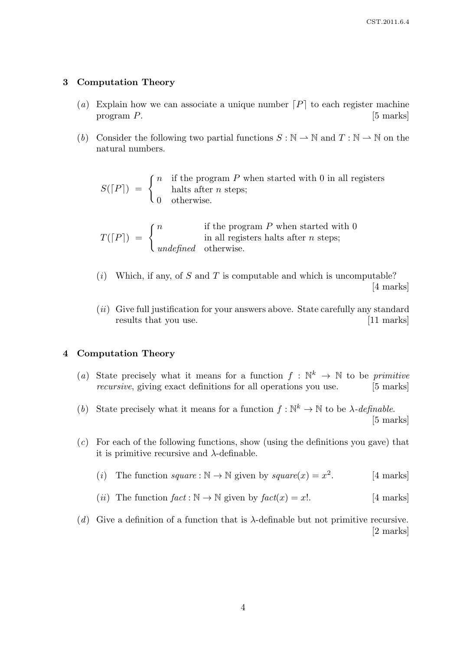#### 3 Computation Theory

- (a) Explain how we can associate a unique number  $[P]$  to each register machine program P. [5] marks]
- (b) Consider the following two partial functions  $S : \mathbb{N} \to \mathbb{N}$  and  $T : \mathbb{N} \to \mathbb{N}$  on the natural numbers.

 $S([P]) = \begin{cases} n & \text{if the program } P \text{ when started with } 0 \text{ in all registers} \\ \text{halts after } n \text{ steps}; \end{cases}$ halts after  $n$  steps; 0 otherwise.

$$
T(\lfloor P \rfloor) = \begin{cases} n & \text{if the program } P \text{ when started with } 0\\ \text{in all registers halts after } n \text{ steps}; \end{cases}
$$
  
 
$$
underfined \text{ otherwise.}
$$

- $(i)$  Which, if any, of S and T is computable and which is uncomputable? [4 marks]
- $(ii)$  Give full justification for your answers above. State carefully any standard results that you use. [11 marks]

#### 4 Computation Theory

- (a) State precisely what it means for a function  $f : \mathbb{N}^k \to \mathbb{N}$  to be primitive recursive, giving exact definitions for all operations you use. [5 marks]
- (b) State precisely what it means for a function  $f: \mathbb{N}^k \to \mathbb{N}$  to be  $\lambda$ -definable. [5 marks]
- (c) For each of the following functions, show (using the definitions you gave) that it is primitive recursive and  $\lambda$ -definable.
	- (*i*) The function square :  $\mathbb{N} \to \mathbb{N}$  given by square(*x*) =  $x^2$ . [4 marks]
	- (*ii*) The function  $fact : \mathbb{N} \to \mathbb{N}$  given by  $fact(x) = x!$ . [4 marks]
- (d) Give a definition of a function that is  $\lambda$ -definable but not primitive recursive. [2 marks]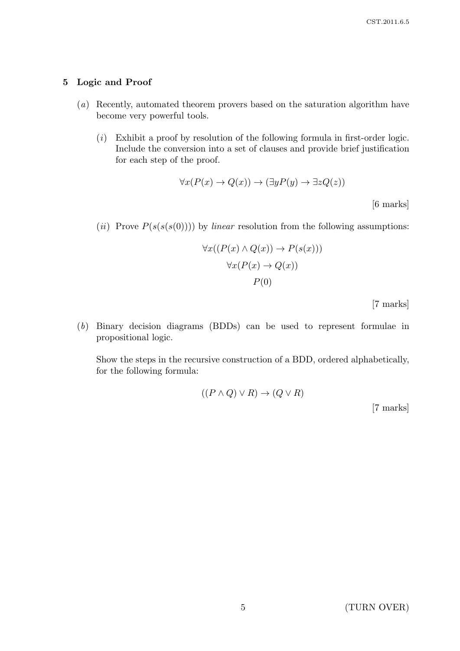### 5 Logic and Proof

- (a) Recently, automated theorem provers based on the saturation algorithm have become very powerful tools.
	- $(i)$  Exhibit a proof by resolution of the following formula in first-order logic. Include the conversion into a set of clauses and provide brief justification for each step of the proof.

$$
\forall x (P(x) \to Q(x)) \to (\exists y P(y) \to \exists z Q(z))
$$
 [6 marks]

(*ii*) Prove  $P(s(s(s(0))))$  by *linear* resolution from the following assumptions:

$$
\forall x ((P(x) \land Q(x)) \to P(s(x)))
$$

$$
\forall x (P(x) \to Q(x))
$$

$$
P(0)
$$

[7 marks]

(b) Binary decision diagrams (BDDs) can be used to represent formulae in propositional logic.

Show the steps in the recursive construction of a BDD, ordered alphabetically, for the following formula:

$$
((P \land Q) \lor R) \to (Q \lor R)
$$

[7 marks]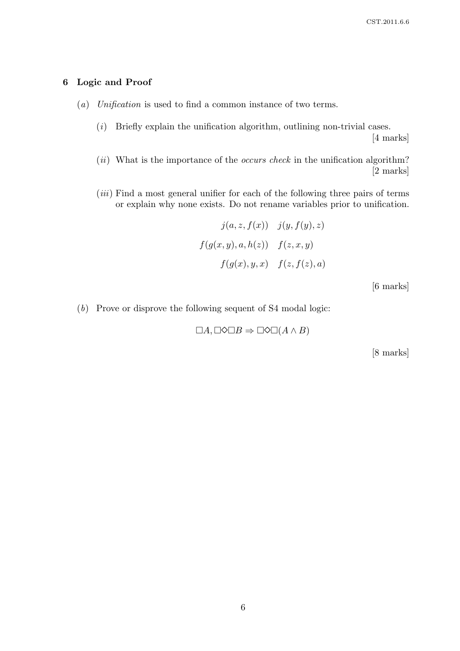## 6 Logic and Proof

- (a) Unification is used to find a common instance of two terms.
	- $(i)$  Briefly explain the unification algorithm, outlining non-trivial cases.

[4 marks]

- $(ii)$  What is the importance of the *occurs check* in the unification algorithm? [2 marks]
- $(iii)$  Find a most general unifier for each of the following three pairs of terms or explain why none exists. Do not rename variables prior to unification.

$$
j(a, z, f(x)) \quad j(y, f(y), z)
$$

$$
f(g(x, y), a, h(z)) \quad f(z, x, y)
$$

$$
f(g(x), y, x) \quad f(z, f(z), a)
$$

[6 marks]

(b) Prove or disprove the following sequent of S4 modal logic:

 $\Box A, \Box \Diamond \Box B \Rightarrow \Box \Diamond \Box (A \land B)$ 

[8 marks]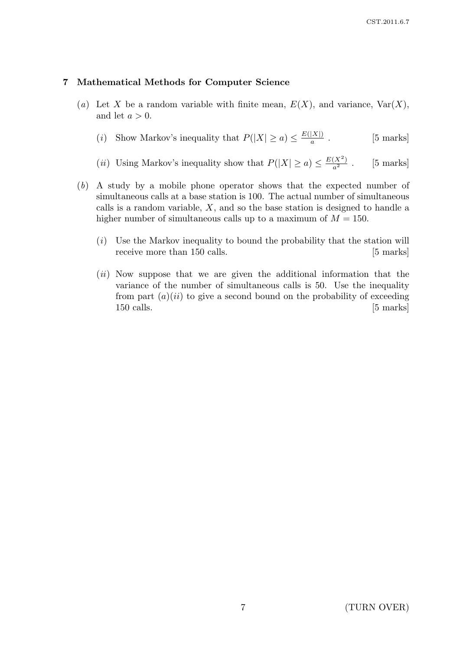#### 7 Mathematical Methods for Computer Science

- (a) Let X be a random variable with finite mean,  $E(X)$ , and variance,  $Var(X)$ , and let  $a > 0$ .
	- (*i*) Show Markov's inequality that  $P(|X| \ge a) \le \frac{E(|X|)}{a}$ a . [5 marks]
	- (*ii*) Using Markov's inequality show that  $P(|X| \ge a) \le \frac{E(X^2)}{a^2}$  $[5$  marks]
- (b) A study by a mobile phone operator shows that the expected number of simultaneous calls at a base station is 100. The actual number of simultaneous calls is a random variable,  $X$ , and so the base station is designed to handle a higher number of simultaneous calls up to a maximum of  $M = 150$ .
	- $(i)$  Use the Markov inequality to bound the probability that the station will receive more than 150 calls. [5 marks]
	- (*ii*) Now suppose that we are given the additional information that the variance of the number of simultaneous calls is 50. Use the inequality from part  $(a)(ii)$  to give a second bound on the probability of exceeding 150 calls. [5 marks]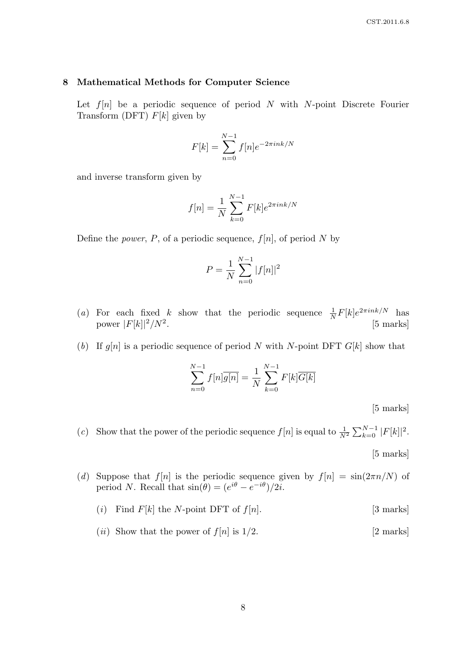#### 8 Mathematical Methods for Computer Science

Let  $f[n]$  be a periodic sequence of period N with N-point Discrete Fourier Transform (DFT)  $F[k]$  given by

$$
F[k] = \sum_{n=0}^{N-1} f[n]e^{-2\pi i n k/N}
$$

and inverse transform given by

$$
f[n] = \frac{1}{N} \sum_{k=0}^{N-1} F[k] e^{2\pi i n k/N}
$$

Define the *power*, P, of a periodic sequence,  $f[n]$ , of period N by

$$
P = \frac{1}{N} \sum_{n=0}^{N-1} |f[n]|^2
$$

- (a) For each fixed k show that the periodic sequence  $\frac{1}{N}F[k]e^{2\pi i n k/N}$  has power  $|F[k]|^2/N^2$ . [5 marks]
- (b) If  $g[n]$  is a periodic sequence of period N with N-point DFT  $G[k]$  show that

$$
\sum_{n=0}^{N-1} f[n] \overline{g[n]} = \frac{1}{N} \sum_{k=0}^{N-1} F[k] \overline{G[k]}
$$

[5 marks]

(c) Show that the power of the periodic sequence  $f[n]$  is equal to  $\frac{1}{N^2} \sum_{k=0}^{N-1} |F[k]|^2$ . [5 marks]

(d) Suppose that  $f[n]$  is the periodic sequence given by  $f[n] = \sin(2\pi n/N)$  of period N. Recall that  $\sin(\theta) = (e^{i\theta} - e^{-i\theta})/2i$ .

# (i) Find  $F[k]$  the N-point DFT of  $f[n]$ . [3 marks]

(*ii*) Show that the power of  $f[n]$  is  $1/2$ . [2 marks]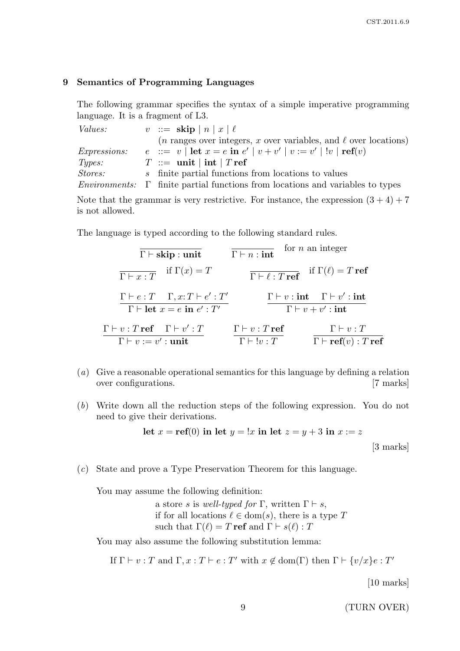#### 9 Semantics of Programming Languages

The following grammar specifies the syntax of a simple imperative programming language. It is a fragment of L3.

| <i>Values:</i>      | $v := \operatorname{skip}  n   x   \ell$                                                               |
|---------------------|--------------------------------------------------------------------------------------------------------|
|                     | $(n \text{ ranges over integers}, x \text{ over variables}, \text{ and } \ell \text{ over locations})$ |
| <i>Expressions:</i> | $e$ ::= $v$   let $x = e$ in $e'$   $v + v'$   $v := v'$   $!v$   ref(v)                               |
| Types:              | $T \ ::=\ \text{unit} \mid \text{int} \mid T \text{ref}$                                               |
| <i>Stores:</i>      | s finite partial functions from locations to values                                                    |
|                     | <i>Environments:</i> $\Gamma$ finite partial functions from locations and variables to types           |

Note that the grammar is very restrictive. For instance, the expression  $(3 + 4) + 7$ is not allowed.

The language is typed according to the following standard rules.

| $\Gamma \vdash \mathbf{skip} : \mathbf{unit}$                                                                         | $\overline{\Gamma \vdash n : \textbf{int}}$                                       | for $n$ an integer                                                                                         |
|-----------------------------------------------------------------------------------------------------------------------|-----------------------------------------------------------------------------------|------------------------------------------------------------------------------------------------------------|
| $\overline{\Gamma \vdash x : T}$ if $\Gamma(x) = T$                                                                   | $\overline{\Gamma \vdash \ell : T \text{ ref}}$ if $\Gamma(\ell) = T \text{ ref}$ |                                                                                                            |
| $\Gamma \vdash e : T \quad \Gamma, x : T \vdash e' : T'$<br>$\Gamma \vdash \textbf{let } x = e \textbf{ in } e' : T'$ |                                                                                   | $\Gamma \vdash v : \textbf{int} \quad \Gamma \vdash v' : \textbf{int}$<br>$\Gamma\vdash v+v':\mathbf{int}$ |
| $\Gamma \vdash v : T \text{ ref} \quad \Gamma \vdash v' : T$                                                          | $\Gamma \vdash v : T$ ref                                                         | $\Gamma \vdash v : T$                                                                                      |
| $\Gamma\vdash v:=v':$ unit                                                                                            | $\Gamma \vdash !v : T$                                                            | $\Gamma \vdash \mathbf{ref}(v) : T \mathbf{ref}$                                                           |

- (a) Give a reasonable operational semantics for this language by defining a relation over configurations. [7 marks]
- (b) Write down all the reduction steps of the following expression. You do not need to give their derivations.

let 
$$
x = \text{ref}(0)
$$
 in let  $y = !x$  in let  $z = y + 3$  in  $x := z$   
[3 marks]

(c) State and prove a Type Preservation Theorem for this language.

You may assume the following definition:

a store s is well-typed for  $\Gamma$ , written  $\Gamma \vdash s$ , if for all locations  $\ell \in \text{dom}(s)$ , there is a type T such that  $\Gamma(\ell) = T \text{ref}$  and  $\Gamma \vdash s(\ell) : T$ 

You may also assume the following substitution lemma:

If  $\Gamma \vdash v : T$  and  $\Gamma, x : T \vdash e : T'$  with  $x \notin \text{dom}(\Gamma)$  then  $\Gamma \vdash \{v/x\}e : T'$ 

[10 marks]

9 (TURN OVER)